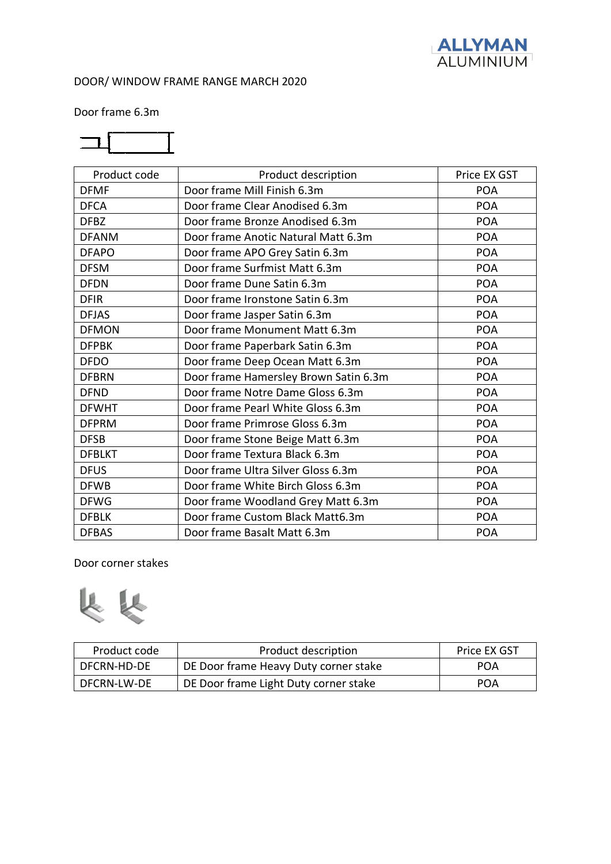

Door frame 6.3m



| Product code  | Product description                   | Price EX GST |
|---------------|---------------------------------------|--------------|
| <b>DFMF</b>   | Door frame Mill Finish 6.3m           | <b>POA</b>   |
| <b>DFCA</b>   | Door frame Clear Anodised 6.3m        | <b>POA</b>   |
| <b>DFBZ</b>   | Door frame Bronze Anodised 6.3m       | <b>POA</b>   |
| <b>DFANM</b>  | Door frame Anotic Natural Matt 6.3m   | <b>POA</b>   |
| <b>DFAPO</b>  | Door frame APO Grey Satin 6.3m        | <b>POA</b>   |
| <b>DFSM</b>   | Door frame Surfmist Matt 6.3m         | <b>POA</b>   |
| <b>DFDN</b>   | Door frame Dune Satin 6.3m            | <b>POA</b>   |
| <b>DFIR</b>   | Door frame Ironstone Satin 6.3m       | <b>POA</b>   |
| <b>DFJAS</b>  | Door frame Jasper Satin 6.3m          | <b>POA</b>   |
| <b>DFMON</b>  | Door frame Monument Matt 6.3m         | <b>POA</b>   |
| <b>DFPBK</b>  | Door frame Paperbark Satin 6.3m       | <b>POA</b>   |
| <b>DFDO</b>   | Door frame Deep Ocean Matt 6.3m       | <b>POA</b>   |
| <b>DFBRN</b>  | Door frame Hamersley Brown Satin 6.3m | <b>POA</b>   |
| <b>DFND</b>   | Door frame Notre Dame Gloss 6.3m      | <b>POA</b>   |
| <b>DFWHT</b>  | Door frame Pearl White Gloss 6.3m     | <b>POA</b>   |
| <b>DFPRM</b>  | Door frame Primrose Gloss 6.3m        | <b>POA</b>   |
| <b>DFSB</b>   | Door frame Stone Beige Matt 6.3m      | <b>POA</b>   |
| <b>DFBLKT</b> | Door frame Textura Black 6.3m         | <b>POA</b>   |
| <b>DFUS</b>   | Door frame Ultra Silver Gloss 6.3m    | <b>POA</b>   |
| <b>DFWB</b>   | Door frame White Birch Gloss 6.3m     | <b>POA</b>   |
| <b>DFWG</b>   | Door frame Woodland Grey Matt 6.3m    | <b>POA</b>   |
| <b>DFBLK</b>  | Door frame Custom Black Matt6.3m      | <b>POA</b>   |
| <b>DFBAS</b>  | Door frame Basalt Matt 6.3m           | <b>POA</b>   |

Door corner stakes



| Product code | Product description                   | Price EX GST |
|--------------|---------------------------------------|--------------|
| DFCRN-HD-DE  | DE Door frame Heavy Duty corner stake | <b>POA</b>   |
| DFCRN-LW-DE  | DE Door frame Light Duty corner stake | POA          |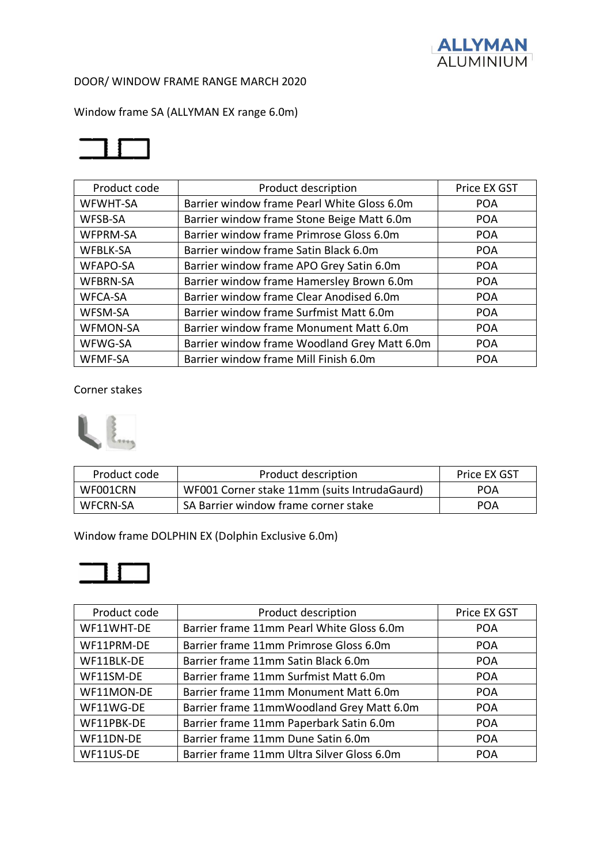

Window frame SA (ALLYMAN EX range 6.0m)



| Product code    | Product description                          | Price EX GST |
|-----------------|----------------------------------------------|--------------|
| <b>WFWHT-SA</b> | Barrier window frame Pearl White Gloss 6.0m  | <b>POA</b>   |
| WFSB-SA         | Barrier window frame Stone Beige Matt 6.0m   | <b>POA</b>   |
| <b>WFPRM-SA</b> | Barrier window frame Primrose Gloss 6.0m     | <b>POA</b>   |
| <b>WFBLK-SA</b> | Barrier window frame Satin Black 6.0m        | <b>POA</b>   |
| <b>WFAPO-SA</b> | Barrier window frame APO Grey Satin 6.0m     | <b>POA</b>   |
| <b>WFBRN-SA</b> | Barrier window frame Hamersley Brown 6.0m    | <b>POA</b>   |
| <b>WFCA-SA</b>  | Barrier window frame Clear Anodised 6.0m     | <b>POA</b>   |
| <b>WFSM-SA</b>  | Barrier window frame Surfmist Matt 6.0m      | <b>POA</b>   |
| <b>WFMON-SA</b> | Barrier window frame Monument Matt 6.0m      | <b>POA</b>   |
| WFWG-SA         | Barrier window frame Woodland Grey Matt 6.0m | <b>POA</b>   |
| <b>WFMF-SA</b>  | Barrier window frame Mill Finish 6.0m        | <b>POA</b>   |

Corner stakes



| Product code    | Product description                          | Price EX GST |
|-----------------|----------------------------------------------|--------------|
| WF001CRN        | WF001 Corner stake 11mm (suits IntrudaGaurd) | <b>POA</b>   |
| <b>WFCRN-SA</b> | SA Barrier window frame corner stake         | <b>POA</b>   |

Window frame DOLPHIN EX (Dolphin Exclusive 6.0m)



| Product code | Product description                        | Price EX GST |
|--------------|--------------------------------------------|--------------|
| WF11WHT-DE   | Barrier frame 11mm Pearl White Gloss 6.0m  | <b>POA</b>   |
| WF11PRM-DE   | Barrier frame 11mm Primrose Gloss 6.0m     | <b>POA</b>   |
| WF11BLK-DE   | Barrier frame 11mm Satin Black 6.0m        | <b>POA</b>   |
| WF11SM-DE    | Barrier frame 11mm Surfmist Matt 6.0m      | <b>POA</b>   |
| WF11MON-DE   | Barrier frame 11mm Monument Matt 6.0m      | <b>POA</b>   |
| WF11WG-DE    | Barrier frame 11mmWoodland Grey Matt 6.0m  | <b>POA</b>   |
| WF11PBK-DE   | Barrier frame 11mm Paperbark Satin 6.0m    | <b>POA</b>   |
| WF11DN-DE    | Barrier frame 11mm Dune Satin 6.0m         | <b>POA</b>   |
| WF11US-DE    | Barrier frame 11mm Ultra Silver Gloss 6.0m | <b>POA</b>   |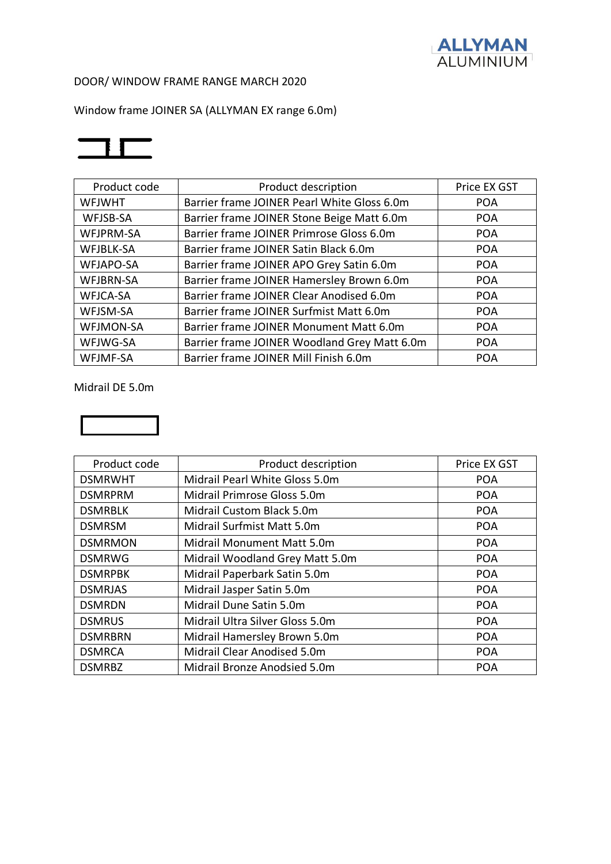

Window frame JOINER SA (ALLYMAN EX range 6.0m)



| Product code     | Product description                          | Price EX GST |
|------------------|----------------------------------------------|--------------|
| <b>WFJWHT</b>    | Barrier frame JOINER Pearl White Gloss 6.0m  | <b>POA</b>   |
| WFJSB-SA         | Barrier frame JOINER Stone Beige Matt 6.0m   | <b>POA</b>   |
| WFJPRM-SA        | Barrier frame JOINER Primrose Gloss 6.0m     | <b>POA</b>   |
| WFJBLK-SA        | Barrier frame JOINER Satin Black 6.0m        | <b>POA</b>   |
| WFJAPO-SA        | Barrier frame JOINER APO Grey Satin 6.0m     | <b>POA</b>   |
| WFJBRN-SA        | Barrier frame JOINER Hamersley Brown 6.0m    | <b>POA</b>   |
| <b>WFJCA-SA</b>  | Barrier frame JOINER Clear Anodised 6.0m     | <b>POA</b>   |
| WFJSM-SA         | Barrier frame JOINER Surfmist Matt 6.0m      | <b>POA</b>   |
| <b>WFJMON-SA</b> | Barrier frame JOINER Monument Matt 6.0m      | <b>POA</b>   |
| WFJWG-SA         | Barrier frame JOINER Woodland Grey Matt 6.0m | <b>POA</b>   |
| WFJMF-SA         | Barrier frame JOINER Mill Finish 6.0m        | <b>POA</b>   |

Midrail DE 5.0m



| Product code   | Product description             | Price EX GST |
|----------------|---------------------------------|--------------|
| <b>DSMRWHT</b> | Midrail Pearl White Gloss 5.0m  | <b>POA</b>   |
| <b>DSMRPRM</b> | Midrail Primrose Gloss 5.0m     | <b>POA</b>   |
| <b>DSMRBLK</b> | Midrail Custom Black 5.0m       | <b>POA</b>   |
| <b>DSMRSM</b>  | Midrail Surfmist Matt 5.0m      | <b>POA</b>   |
| <b>DSMRMON</b> | Midrail Monument Matt 5.0m      | <b>POA</b>   |
| <b>DSMRWG</b>  | Midrail Woodland Grey Matt 5.0m | <b>POA</b>   |
| <b>DSMRPBK</b> | Midrail Paperbark Satin 5.0m    | <b>POA</b>   |
| <b>DSMRJAS</b> | Midrail Jasper Satin 5.0m       | <b>POA</b>   |
| <b>DSMRDN</b>  | Midrail Dune Satin 5.0m         | <b>POA</b>   |
| <b>DSMRUS</b>  | Midrail Ultra Silver Gloss 5.0m | <b>POA</b>   |
| <b>DSMRBRN</b> | Midrail Hamersley Brown 5.0m    | <b>POA</b>   |
| <b>DSMRCA</b>  | Midrail Clear Anodised 5.0m     | <b>POA</b>   |
| <b>DSMRBZ</b>  | Midrail Bronze Anodsied 5.0m    | <b>POA</b>   |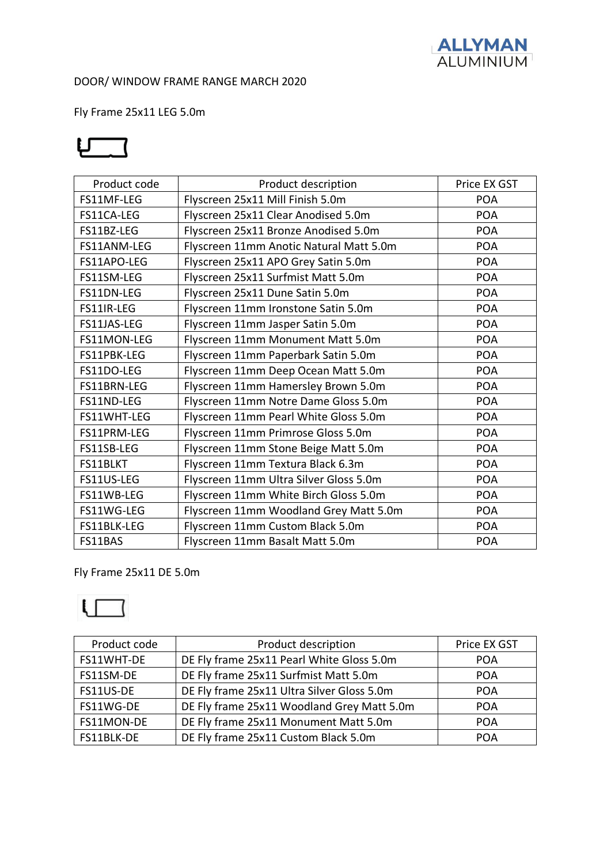

Fly Frame 25x11 LEG 5.0m

# பு

| Product code | Product description                     | Price EX GST |
|--------------|-----------------------------------------|--------------|
| FS11MF-LEG   | Flyscreen 25x11 Mill Finish 5.0m        | <b>POA</b>   |
| FS11CA-LEG   | Flyscreen 25x11 Clear Anodised 5.0m     | <b>POA</b>   |
| FS11BZ-LEG   | Flyscreen 25x11 Bronze Anodised 5.0m    | <b>POA</b>   |
| FS11ANM-LEG  | Flyscreen 11mm Anotic Natural Matt 5.0m | <b>POA</b>   |
| FS11APO-LEG  | Flyscreen 25x11 APO Grey Satin 5.0m     | <b>POA</b>   |
| FS11SM-LEG   | Flyscreen 25x11 Surfmist Matt 5.0m      | <b>POA</b>   |
| FS11DN-LEG   | Flyscreen 25x11 Dune Satin 5.0m         | <b>POA</b>   |
| FS11IR-LEG   | Flyscreen 11mm Ironstone Satin 5.0m     | <b>POA</b>   |
| FS11JAS-LEG  | Flyscreen 11mm Jasper Satin 5.0m        | <b>POA</b>   |
| FS11MON-LEG  | Flyscreen 11mm Monument Matt 5.0m       | <b>POA</b>   |
| FS11PBK-LEG  | Flyscreen 11mm Paperbark Satin 5.0m     | <b>POA</b>   |
| FS11DO-LEG   | Flyscreen 11mm Deep Ocean Matt 5.0m     | <b>POA</b>   |
| FS11BRN-LEG  | Flyscreen 11mm Hamersley Brown 5.0m     | <b>POA</b>   |
| FS11ND-LEG   | Flyscreen 11mm Notre Dame Gloss 5.0m    | <b>POA</b>   |
| FS11WHT-LEG  | Flyscreen 11mm Pearl White Gloss 5.0m   | <b>POA</b>   |
| FS11PRM-LEG  | Flyscreen 11mm Primrose Gloss 5.0m      | <b>POA</b>   |
| FS11SB-LEG   | Flyscreen 11mm Stone Beige Matt 5.0m    | <b>POA</b>   |
| FS11BLKT     | Flyscreen 11mm Textura Black 6.3m       | <b>POA</b>   |
| FS11US-LEG   | Flyscreen 11mm Ultra Silver Gloss 5.0m  | <b>POA</b>   |
| FS11WB-LEG   | Flyscreen 11mm White Birch Gloss 5.0m   | <b>POA</b>   |
| FS11WG-LEG   | Flyscreen 11mm Woodland Grey Matt 5.0m  | <b>POA</b>   |
| FS11BLK-LEG  | Flyscreen 11mm Custom Black 5.0m        | <b>POA</b>   |
| FS11BAS      | Flyscreen 11mm Basalt Matt 5.0m         | <b>POA</b>   |

Fly Frame 25x11 DE 5.0m



| Product code | Product description                        | Price EX GST |
|--------------|--------------------------------------------|--------------|
| FS11WHT-DE   | DE Fly frame 25x11 Pearl White Gloss 5.0m  | <b>POA</b>   |
| FS11SM-DE    | DE Fly frame 25x11 Surfmist Matt 5.0m      | <b>POA</b>   |
| FS11US-DE    | DE Fly frame 25x11 Ultra Silver Gloss 5.0m | <b>POA</b>   |
| FS11WG-DE    | DE Fly frame 25x11 Woodland Grey Matt 5.0m | <b>POA</b>   |
| FS11MON-DE   | DE Fly frame 25x11 Monument Matt 5.0m      | <b>POA</b>   |
| FS11BLK-DE   | DE Fly frame 25x11 Custom Black 5.0m       | <b>POA</b>   |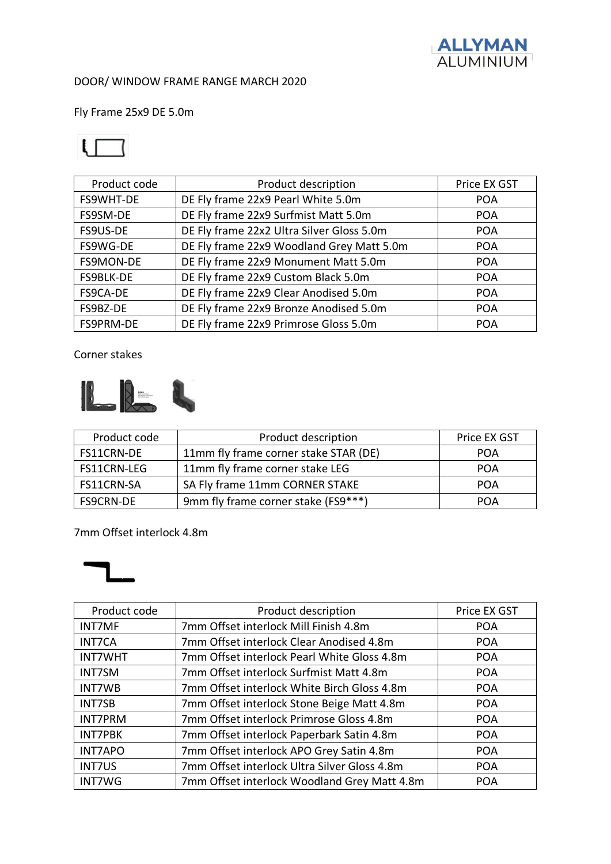

Fly Frame 25x9 DE 5.0m

## $\mathsf{L} \sqsubset \mathsf{L}$

| Product code | Product description                       | Price EX GST |
|--------------|-------------------------------------------|--------------|
| FS9WHT-DE    | DE Fly frame 22x9 Pearl White 5.0m        | <b>POA</b>   |
| FS9SM-DE     | DE Fly frame 22x9 Surfmist Matt 5.0m      | <b>POA</b>   |
| FS9US-DE     | DE Fly frame 22x2 Ultra Silver Gloss 5.0m | <b>POA</b>   |
| FS9WG-DE     | DE Fly frame 22x9 Woodland Grey Matt 5.0m | <b>POA</b>   |
| FS9MON-DE    | DE Fly frame 22x9 Monument Matt 5.0m      | <b>POA</b>   |
| FS9BLK-DE    | DE Fly frame 22x9 Custom Black 5.0m       | <b>POA</b>   |
| FS9CA-DE     | DE Fly frame 22x9 Clear Anodised 5.0m     | <b>POA</b>   |
| FS9BZ-DE     | DE Fly frame 22x9 Bronze Anodised 5.0m    | <b>POA</b>   |
| FS9PRM-DE    | DE Fly frame 22x9 Primrose Gloss 5.0m     | <b>POA</b>   |

Corner stakes



| Product code     | Product description                   | <b>Price EX GST</b> |
|------------------|---------------------------------------|---------------------|
| FS11CRN-DE       | 11mm fly frame corner stake STAR (DE) | <b>POA</b>          |
| FS11CRN-LEG      | 11mm fly frame corner stake LEG       | <b>POA</b>          |
| FS11CRN-SA       | SA Fly frame 11mm CORNER STAKE        | POA                 |
| <b>FS9CRN-DE</b> | 9mm fly frame corner stake (FS9***)   | POA                 |

#### 7mm Offset interlock 4.8m



| Product code   | Product description                          | Price EX GST |
|----------------|----------------------------------------------|--------------|
| <b>INT7MF</b>  | 7mm Offset interlock Mill Finish 4.8m        | <b>POA</b>   |
| <b>INT7CA</b>  | 7mm Offset interlock Clear Anodised 4.8m     | <b>POA</b>   |
| <b>INT7WHT</b> | 7mm Offset interlock Pearl White Gloss 4.8m  | <b>POA</b>   |
| <b>INT7SM</b>  | 7mm Offset interlock Surfmist Matt 4.8m      | <b>POA</b>   |
| <b>INT7WB</b>  | 7mm Offset interlock White Birch Gloss 4.8m  | <b>POA</b>   |
| <b>INT7SB</b>  | 7mm Offset interlock Stone Beige Matt 4.8m   | <b>POA</b>   |
| <b>INT7PRM</b> | 7mm Offset interlock Primrose Gloss 4.8m     | <b>POA</b>   |
| <b>INT7PBK</b> | 7mm Offset interlock Paperbark Satin 4.8m    | <b>POA</b>   |
| <b>INT7APO</b> | 7mm Offset interlock APO Grey Satin 4.8m     | <b>POA</b>   |
| <b>INT7US</b>  | 7mm Offset interlock Ultra Silver Gloss 4.8m | <b>POA</b>   |
| <b>INT7WG</b>  | 7mm Offset interlock Woodland Grey Matt 4.8m | <b>POA</b>   |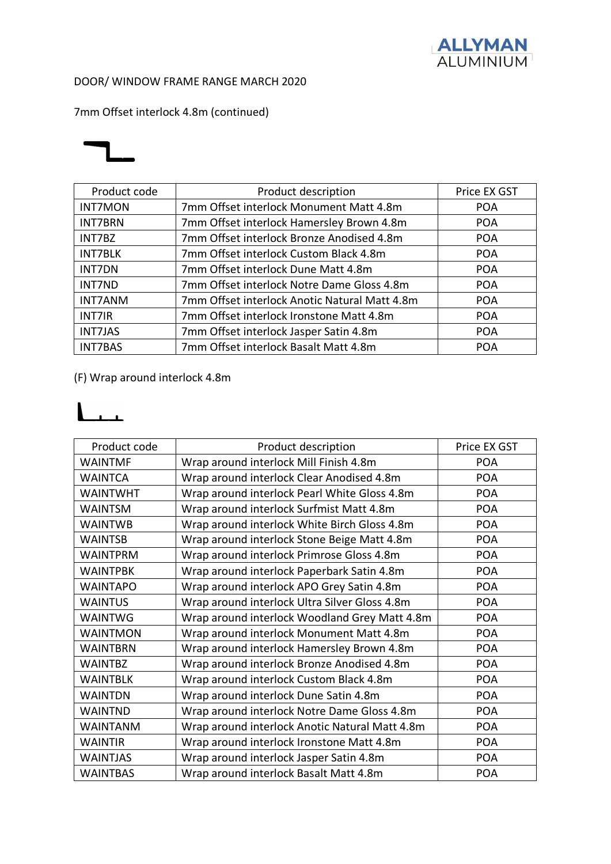

## 7mm Offset interlock 4.8m (continued)



| Product code   | Product description                           | Price EX GST |
|----------------|-----------------------------------------------|--------------|
| <b>INT7MON</b> | 7mm Offset interlock Monument Matt 4.8m       | <b>POA</b>   |
| <b>INT7BRN</b> | 7mm Offset interlock Hamersley Brown 4.8m     | <b>POA</b>   |
| INT7BZ         | 7mm Offset interlock Bronze Anodised 4.8m     | <b>POA</b>   |
| <b>INT7BLK</b> | 7mm Offset interlock Custom Black 4.8m        | <b>POA</b>   |
| <b>INT7DN</b>  | 7mm Offset interlock Dune Matt 4.8m           | <b>POA</b>   |
| <b>INT7ND</b>  | 7mm Offset interlock Notre Dame Gloss 4.8m    | <b>POA</b>   |
| <b>INT7ANM</b> | 7mm Offset interlock Anotic Natural Matt 4.8m | <b>POA</b>   |
| <b>INT7IR</b>  | 7mm Offset interlock Ironstone Matt 4.8m      | <b>POA</b>   |
| <b>INT7JAS</b> | 7mm Offset interlock Jasper Satin 4.8m        | <b>POA</b>   |
| <b>INT7BAS</b> | 7mm Offset interlock Basalt Matt 4.8m         | <b>POA</b>   |

#### (F) Wrap around interlock 4.8m

## $\mathbf{L}_{\mathbf{L}}$

| Product code    | Product description                            | Price EX GST |
|-----------------|------------------------------------------------|--------------|
| <b>WAINTMF</b>  | Wrap around interlock Mill Finish 4.8m         | <b>POA</b>   |
| <b>WAINTCA</b>  | Wrap around interlock Clear Anodised 4.8m      | <b>POA</b>   |
| <b>WAINTWHT</b> | Wrap around interlock Pearl White Gloss 4.8m   | <b>POA</b>   |
| <b>WAINTSM</b>  | Wrap around interlock Surfmist Matt 4.8m       | <b>POA</b>   |
| <b>WAINTWB</b>  | Wrap around interlock White Birch Gloss 4.8m   | <b>POA</b>   |
| <b>WAINTSB</b>  | Wrap around interlock Stone Beige Matt 4.8m    | <b>POA</b>   |
| <b>WAINTPRM</b> | Wrap around interlock Primrose Gloss 4.8m      | <b>POA</b>   |
| <b>WAINTPBK</b> | Wrap around interlock Paperbark Satin 4.8m     | <b>POA</b>   |
| <b>WAINTAPO</b> | Wrap around interlock APO Grey Satin 4.8m      | <b>POA</b>   |
| <b>WAINTUS</b>  | Wrap around interlock Ultra Silver Gloss 4.8m  | <b>POA</b>   |
| <b>WAINTWG</b>  | Wrap around interlock Woodland Grey Matt 4.8m  | <b>POA</b>   |
| <b>WAINTMON</b> | Wrap around interlock Monument Matt 4.8m       | <b>POA</b>   |
| <b>WAINTBRN</b> | Wrap around interlock Hamersley Brown 4.8m     | <b>POA</b>   |
| <b>WAINTBZ</b>  | Wrap around interlock Bronze Anodised 4.8m     | <b>POA</b>   |
| <b>WAINTBLK</b> | Wrap around interlock Custom Black 4.8m        | <b>POA</b>   |
| <b>WAINTDN</b>  | Wrap around interlock Dune Satin 4.8m          | <b>POA</b>   |
| <b>WAINTND</b>  | Wrap around interlock Notre Dame Gloss 4.8m    | <b>POA</b>   |
| <b>WAINTANM</b> | Wrap around interlock Anotic Natural Matt 4.8m | <b>POA</b>   |
| <b>WAINTIR</b>  | Wrap around interlock Ironstone Matt 4.8m      | <b>POA</b>   |
| <b>WAINTJAS</b> | Wrap around interlock Jasper Satin 4.8m        | <b>POA</b>   |
| <b>WAINTBAS</b> | Wrap around interlock Basalt Matt 4.8m         | <b>POA</b>   |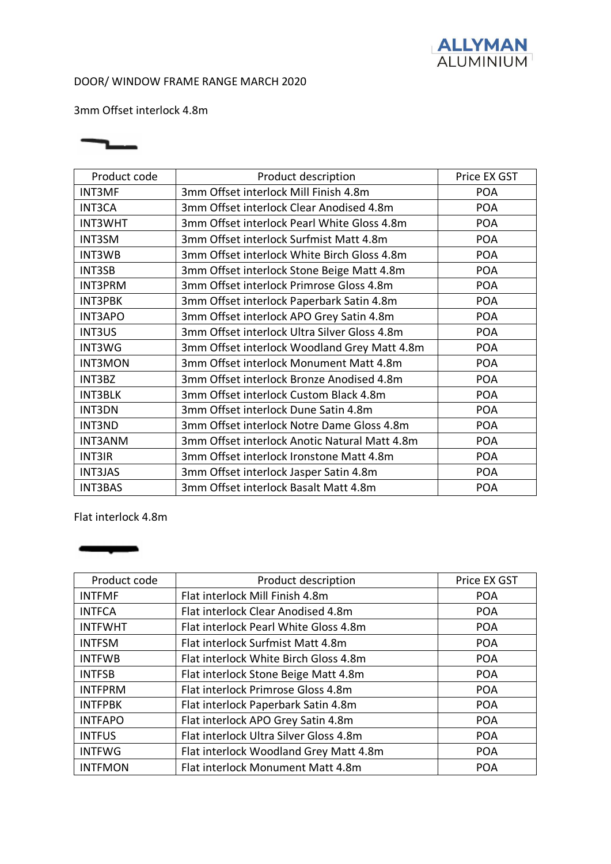

3mm Offset interlock 4.8m



| Product code   | Product description                           | Price EX GST |
|----------------|-----------------------------------------------|--------------|
| <b>INT3MF</b>  | 3mm Offset interlock Mill Finish 4.8m         | <b>POA</b>   |
| <b>INT3CA</b>  | 3mm Offset interlock Clear Anodised 4.8m      | <b>POA</b>   |
| <b>INT3WHT</b> | 3mm Offset interlock Pearl White Gloss 4.8m   | <b>POA</b>   |
| <b>INT3SM</b>  | 3mm Offset interlock Surfmist Matt 4.8m       | <b>POA</b>   |
| <b>INT3WB</b>  | 3mm Offset interlock White Birch Gloss 4.8m   | <b>POA</b>   |
| <b>INT3SB</b>  | 3mm Offset interlock Stone Beige Matt 4.8m    | <b>POA</b>   |
| <b>INT3PRM</b> | 3mm Offset interlock Primrose Gloss 4.8m      | <b>POA</b>   |
| <b>INT3PBK</b> | 3mm Offset interlock Paperbark Satin 4.8m     | <b>POA</b>   |
| <b>INT3APO</b> | 3mm Offset interlock APO Grey Satin 4.8m      | <b>POA</b>   |
| <b>INT3US</b>  | 3mm Offset interlock Ultra Silver Gloss 4.8m  | <b>POA</b>   |
| INT3WG         | 3mm Offset interlock Woodland Grey Matt 4.8m  | <b>POA</b>   |
| <b>INT3MON</b> | 3mm Offset interlock Monument Matt 4.8m       | <b>POA</b>   |
| INT3BZ         | 3mm Offset interlock Bronze Anodised 4.8m     | <b>POA</b>   |
| <b>INT3BLK</b> | 3mm Offset interlock Custom Black 4.8m        | <b>POA</b>   |
| <b>INT3DN</b>  | 3mm Offset interlock Dune Satin 4.8m          | <b>POA</b>   |
| <b>INT3ND</b>  | 3mm Offset interlock Notre Dame Gloss 4.8m    | <b>POA</b>   |
| <b>INT3ANM</b> | 3mm Offset interlock Anotic Natural Matt 4.8m | <b>POA</b>   |
| <b>INT3IR</b>  | 3mm Offset interlock Ironstone Matt 4.8m      | <b>POA</b>   |
| <b>INT3JAS</b> | 3mm Offset interlock Jasper Satin 4.8m        | <b>POA</b>   |
| <b>INT3BAS</b> | 3mm Offset interlock Basalt Matt 4.8m         | <b>POA</b>   |

Flat interlock 4.8m

<u> a shekara ta 1980 ha</u>

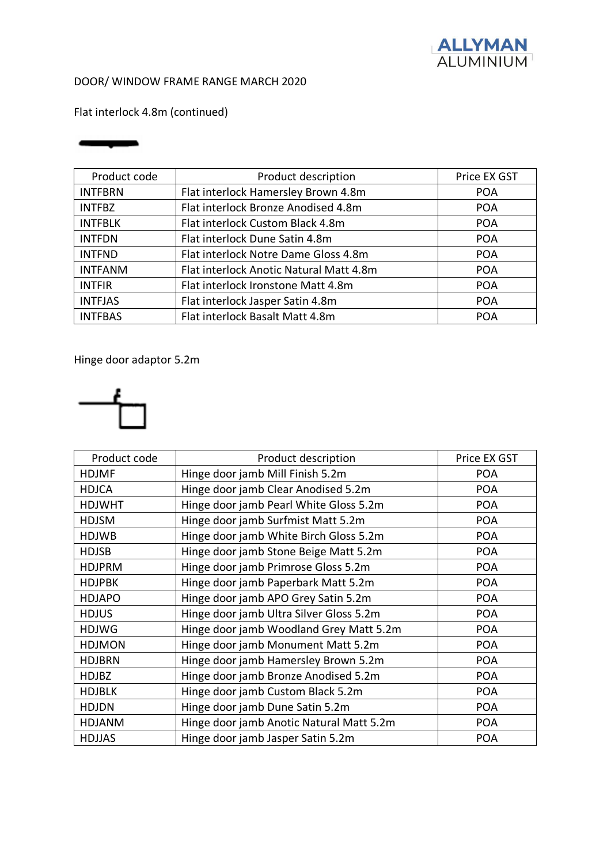

Flat interlock 4.8m (continued)

#### فتشرفن

| Product code   | Product description                     | Price EX GST |
|----------------|-----------------------------------------|--------------|
| <b>INTFBRN</b> | Flat interlock Hamersley Brown 4.8m     | <b>POA</b>   |
| <b>INTFBZ</b>  | Flat interlock Bronze Anodised 4.8m     | <b>POA</b>   |
| <b>INTFBLK</b> | Flat interlock Custom Black 4.8m        | <b>POA</b>   |
| <b>INTFDN</b>  | Flat interlock Dune Satin 4.8m          | <b>POA</b>   |
| <b>INTFND</b>  | Flat interlock Notre Dame Gloss 4.8m    | <b>POA</b>   |
| <b>INTFANM</b> | Flat interlock Anotic Natural Matt 4.8m | <b>POA</b>   |
| <b>INTFIR</b>  | Flat interlock Ironstone Matt 4.8m      | <b>POA</b>   |
| <b>INTFJAS</b> | Flat interlock Jasper Satin 4.8m        | <b>POA</b>   |
| <b>INTFBAS</b> | Flat interlock Basalt Matt 4.8m         | <b>POA</b>   |

Hinge door adaptor 5.2m



| Product code  | Product description                      | Price EX GST |
|---------------|------------------------------------------|--------------|
| <b>HDJMF</b>  | Hinge door jamb Mill Finish 5.2m         | <b>POA</b>   |
| <b>HDJCA</b>  | Hinge door jamb Clear Anodised 5.2m      | <b>POA</b>   |
| <b>HDJWHT</b> | Hinge door jamb Pearl White Gloss 5.2m   | <b>POA</b>   |
| <b>HDJSM</b>  | Hinge door jamb Surfmist Matt 5.2m       | <b>POA</b>   |
| <b>HDJWB</b>  | Hinge door jamb White Birch Gloss 5.2m   | <b>POA</b>   |
| HDJSB         | Hinge door jamb Stone Beige Matt 5.2m    | <b>POA</b>   |
| <b>HDJPRM</b> | Hinge door jamb Primrose Gloss 5.2m      | <b>POA</b>   |
| <b>HDJPBK</b> | Hinge door jamb Paperbark Matt 5.2m      | <b>POA</b>   |
| <b>HDJAPO</b> | Hinge door jamb APO Grey Satin 5.2m      | <b>POA</b>   |
| <b>HDJUS</b>  | Hinge door jamb Ultra Silver Gloss 5.2m  | <b>POA</b>   |
| <b>HDJWG</b>  | Hinge door jamb Woodland Grey Matt 5.2m  | <b>POA</b>   |
| <b>HDJMON</b> | Hinge door jamb Monument Matt 5.2m       | <b>POA</b>   |
| <b>HDJBRN</b> | Hinge door jamb Hamersley Brown 5.2m     | <b>POA</b>   |
| <b>HDJBZ</b>  | Hinge door jamb Bronze Anodised 5.2m     | <b>POA</b>   |
| <b>HDJBLK</b> | Hinge door jamb Custom Black 5.2m        | <b>POA</b>   |
| <b>HDJDN</b>  | Hinge door jamb Dune Satin 5.2m          | <b>POA</b>   |
| <b>HDJANM</b> | Hinge door jamb Anotic Natural Matt 5.2m | <b>POA</b>   |
| <b>HDJJAS</b> | Hinge door jamb Jasper Satin 5.2m        | <b>POA</b>   |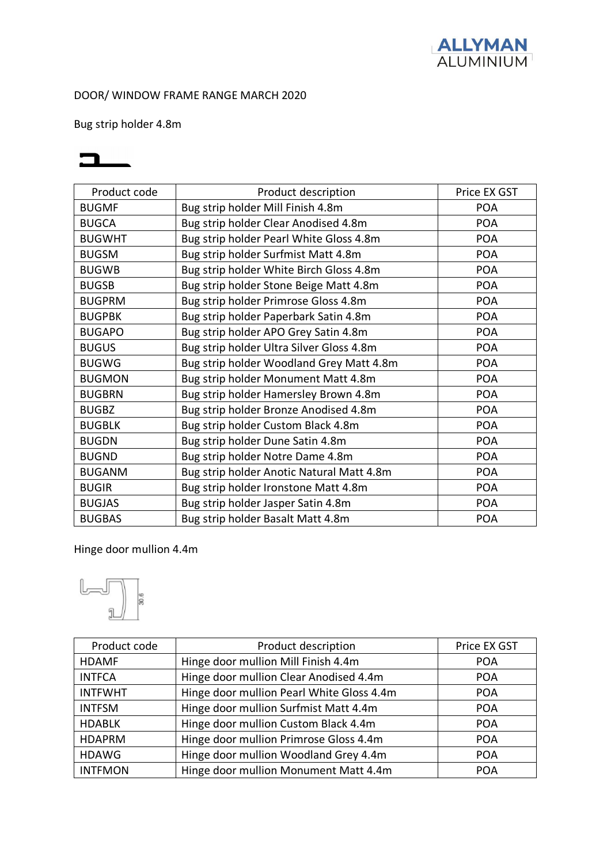

Bug strip holder 4.8m



| Product code  | Product description                       | Price EX GST |
|---------------|-------------------------------------------|--------------|
| <b>BUGMF</b>  | Bug strip holder Mill Finish 4.8m         | <b>POA</b>   |
| <b>BUGCA</b>  | Bug strip holder Clear Anodised 4.8m      | <b>POA</b>   |
| <b>BUGWHT</b> | Bug strip holder Pearl White Gloss 4.8m   | <b>POA</b>   |
| <b>BUGSM</b>  | Bug strip holder Surfmist Matt 4.8m       | <b>POA</b>   |
| <b>BUGWB</b>  | Bug strip holder White Birch Gloss 4.8m   | <b>POA</b>   |
| <b>BUGSB</b>  | Bug strip holder Stone Beige Matt 4.8m    | <b>POA</b>   |
| <b>BUGPRM</b> | Bug strip holder Primrose Gloss 4.8m      | <b>POA</b>   |
| <b>BUGPBK</b> | Bug strip holder Paperbark Satin 4.8m     | <b>POA</b>   |
| <b>BUGAPO</b> | Bug strip holder APO Grey Satin 4.8m      | <b>POA</b>   |
| <b>BUGUS</b>  | Bug strip holder Ultra Silver Gloss 4.8m  | <b>POA</b>   |
| <b>BUGWG</b>  | Bug strip holder Woodland Grey Matt 4.8m  | <b>POA</b>   |
| <b>BUGMON</b> | Bug strip holder Monument Matt 4.8m       | <b>POA</b>   |
| <b>BUGBRN</b> | Bug strip holder Hamersley Brown 4.8m     | <b>POA</b>   |
| <b>BUGBZ</b>  | Bug strip holder Bronze Anodised 4.8m     | <b>POA</b>   |
| <b>BUGBLK</b> | Bug strip holder Custom Black 4.8m        | <b>POA</b>   |
| <b>BUGDN</b>  | Bug strip holder Dune Satin 4.8m          | <b>POA</b>   |
| <b>BUGND</b>  | Bug strip holder Notre Dame 4.8m          | <b>POA</b>   |
| <b>BUGANM</b> | Bug strip holder Anotic Natural Matt 4.8m | <b>POA</b>   |
| <b>BUGIR</b>  | Bug strip holder Ironstone Matt 4.8m      | <b>POA</b>   |
| <b>BUGJAS</b> | Bug strip holder Jasper Satin 4.8m        | <b>POA</b>   |
| <b>BUGBAS</b> | Bug strip holder Basalt Matt 4.8m         | <b>POA</b>   |

Hinge door mullion 4.4m

 $\boxed{\phantom{a}}$ Ιĕ

| Product code   | Product description                       | Price EX GST |
|----------------|-------------------------------------------|--------------|
| <b>HDAMF</b>   | Hinge door mullion Mill Finish 4.4m       | <b>POA</b>   |
| <b>INTFCA</b>  | Hinge door mullion Clear Anodised 4.4m    | <b>POA</b>   |
| <b>INTFWHT</b> | Hinge door mullion Pearl White Gloss 4.4m | <b>POA</b>   |
| <b>INTFSM</b>  | Hinge door mullion Surfmist Matt 4.4m     | <b>POA</b>   |
| <b>HDABLK</b>  | Hinge door mullion Custom Black 4.4m      | <b>POA</b>   |
| <b>HDAPRM</b>  | Hinge door mullion Primrose Gloss 4.4m    | <b>POA</b>   |
| <b>HDAWG</b>   | Hinge door mullion Woodland Grey 4.4m     | <b>POA</b>   |
| <b>INTFMON</b> | Hinge door mullion Monument Matt 4.4m     | <b>POA</b>   |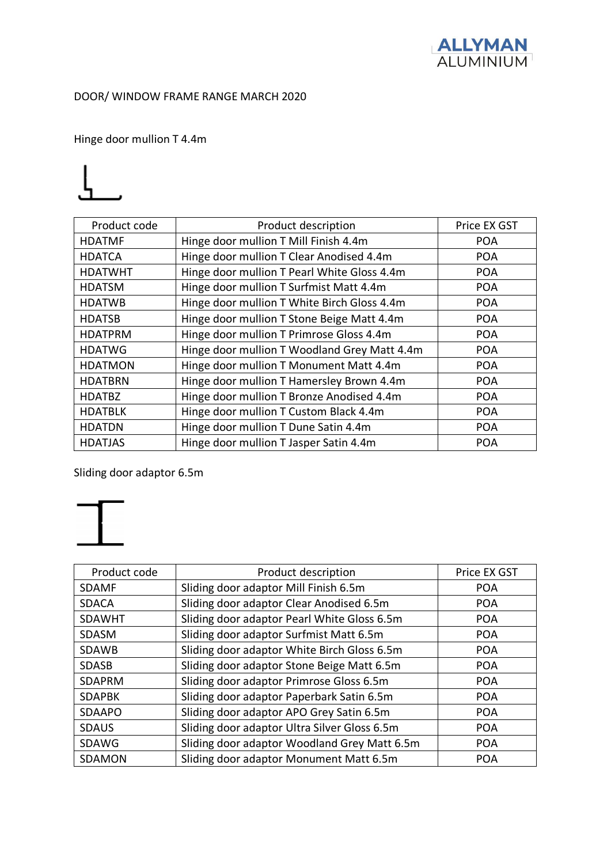

Hinge door mullion T 4.4m



| Product code   | Product description                          | Price EX GST |
|----------------|----------------------------------------------|--------------|
| <b>HDATMF</b>  | Hinge door mullion T Mill Finish 4.4m        | <b>POA</b>   |
| <b>HDATCA</b>  | Hinge door mullion T Clear Anodised 4.4m     | <b>POA</b>   |
| <b>HDATWHT</b> | Hinge door mullion T Pearl White Gloss 4.4m  | <b>POA</b>   |
| <b>HDATSM</b>  | Hinge door mullion T Surfmist Matt 4.4m      | <b>POA</b>   |
| <b>HDATWB</b>  | Hinge door mullion T White Birch Gloss 4.4m  | <b>POA</b>   |
| <b>HDATSB</b>  | Hinge door mullion T Stone Beige Matt 4.4m   | <b>POA</b>   |
| <b>HDATPRM</b> | Hinge door mullion T Primrose Gloss 4.4m     | <b>POA</b>   |
| <b>HDATWG</b>  | Hinge door mullion T Woodland Grey Matt 4.4m | <b>POA</b>   |
| <b>HDATMON</b> | Hinge door mullion T Monument Matt 4.4m      | <b>POA</b>   |
| <b>HDATBRN</b> | Hinge door mullion T Hamersley Brown 4.4m    | <b>POA</b>   |
| <b>HDATBZ</b>  | Hinge door mullion T Bronze Anodised 4.4m    | <b>POA</b>   |
| <b>HDATBLK</b> | Hinge door mullion T Custom Black 4.4m       | <b>POA</b>   |
| <b>HDATDN</b>  | Hinge door mullion T Dune Satin 4.4m         | <b>POA</b>   |
| <b>HDATJAS</b> | Hinge door mullion T Jasper Satin 4.4m       | <b>POA</b>   |

Sliding door adaptor 6.5m



| Product code  | Product description                          | Price EX GST |
|---------------|----------------------------------------------|--------------|
| <b>SDAMF</b>  | Sliding door adaptor Mill Finish 6.5m        | <b>POA</b>   |
| <b>SDACA</b>  | Sliding door adaptor Clear Anodised 6.5m     | <b>POA</b>   |
| <b>SDAWHT</b> | Sliding door adaptor Pearl White Gloss 6.5m  | <b>POA</b>   |
| SDASM         | Sliding door adaptor Surfmist Matt 6.5m      | <b>POA</b>   |
| <b>SDAWB</b>  | Sliding door adaptor White Birch Gloss 6.5m  | <b>POA</b>   |
| <b>SDASB</b>  | Sliding door adaptor Stone Beige Matt 6.5m   | <b>POA</b>   |
| <b>SDAPRM</b> | Sliding door adaptor Primrose Gloss 6.5m     | <b>POA</b>   |
| <b>SDAPBK</b> | Sliding door adaptor Paperbark Satin 6.5m    | <b>POA</b>   |
| <b>SDAAPO</b> | Sliding door adaptor APO Grey Satin 6.5m     | <b>POA</b>   |
| <b>SDAUS</b>  | Sliding door adaptor Ultra Silver Gloss 6.5m | <b>POA</b>   |
| SDAWG         | Sliding door adaptor Woodland Grey Matt 6.5m | <b>POA</b>   |
| SDAMON        | Sliding door adaptor Monument Matt 6.5m      | <b>POA</b>   |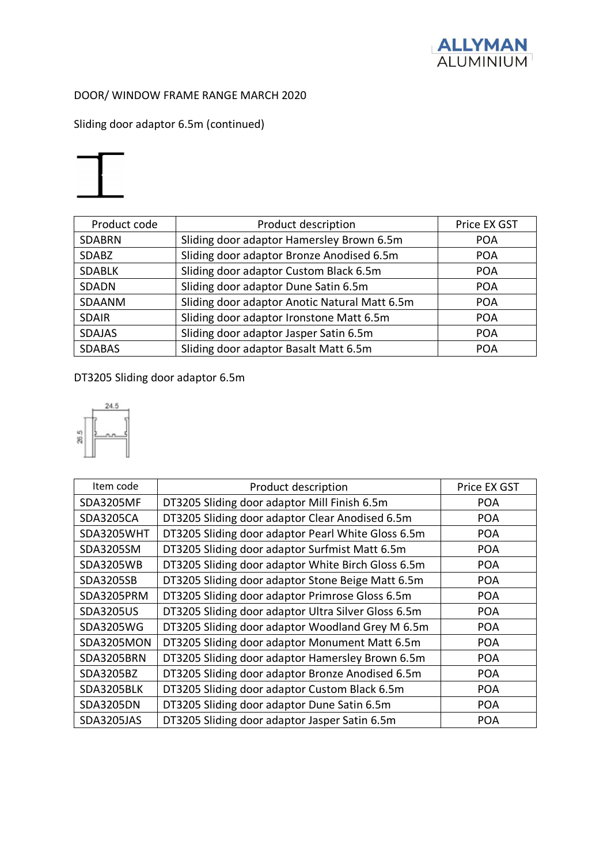

Sliding door adaptor 6.5m (continued)



| Product code  | Product description                           | Price EX GST |
|---------------|-----------------------------------------------|--------------|
| <b>SDABRN</b> | Sliding door adaptor Hamersley Brown 6.5m     | <b>POA</b>   |
| <b>SDABZ</b>  | Sliding door adaptor Bronze Anodised 6.5m     | <b>POA</b>   |
| <b>SDABLK</b> | Sliding door adaptor Custom Black 6.5m        | <b>POA</b>   |
| <b>SDADN</b>  | Sliding door adaptor Dune Satin 6.5m          | <b>POA</b>   |
| SDAANM        | Sliding door adaptor Anotic Natural Matt 6.5m | <b>POA</b>   |
| <b>SDAIR</b>  | Sliding door adaptor Ironstone Matt 6.5m      | <b>POA</b>   |
| <b>SDAJAS</b> | Sliding door adaptor Jasper Satin 6.5m        | <b>POA</b>   |
| <b>SDABAS</b> | Sliding door adaptor Basalt Matt 6.5m         | <b>POA</b>   |

## DT3205 Sliding door adaptor 6.5m



| Item code         | Product description                                 | Price EX GST |
|-------------------|-----------------------------------------------------|--------------|
| <b>SDA3205MF</b>  | DT3205 Sliding door adaptor Mill Finish 6.5m        | <b>POA</b>   |
| <b>SDA3205CA</b>  | DT3205 Sliding door adaptor Clear Anodised 6.5m     | <b>POA</b>   |
| SDA3205WHT        | DT3205 Sliding door adaptor Pearl White Gloss 6.5m  | <b>POA</b>   |
| SDA3205SM         | DT3205 Sliding door adaptor Surfmist Matt 6.5m      | <b>POA</b>   |
| <b>SDA3205WB</b>  | DT3205 Sliding door adaptor White Birch Gloss 6.5m  | <b>POA</b>   |
| SDA3205SB         | DT3205 Sliding door adaptor Stone Beige Matt 6.5m   | <b>POA</b>   |
| SDA3205PRM        | DT3205 Sliding door adaptor Primrose Gloss 6.5m     | <b>POA</b>   |
| <b>SDA3205US</b>  | DT3205 Sliding door adaptor Ultra Silver Gloss 6.5m | <b>POA</b>   |
| SDA3205WG         | DT3205 Sliding door adaptor Woodland Grey M 6.5m    | <b>POA</b>   |
| SDA3205MON        | DT3205 Sliding door adaptor Monument Matt 6.5m      | <b>POA</b>   |
| <b>SDA3205BRN</b> | DT3205 Sliding door adaptor Hamersley Brown 6.5m    | <b>POA</b>   |
| SDA3205BZ         | DT3205 Sliding door adaptor Bronze Anodised 6.5m    | <b>POA</b>   |
| SDA3205BLK        | DT3205 Sliding door adaptor Custom Black 6.5m       | <b>POA</b>   |
| <b>SDA3205DN</b>  | DT3205 Sliding door adaptor Dune Satin 6.5m         | <b>POA</b>   |
| SDA3205JAS        | DT3205 Sliding door adaptor Jasper Satin 6.5m       | <b>POA</b>   |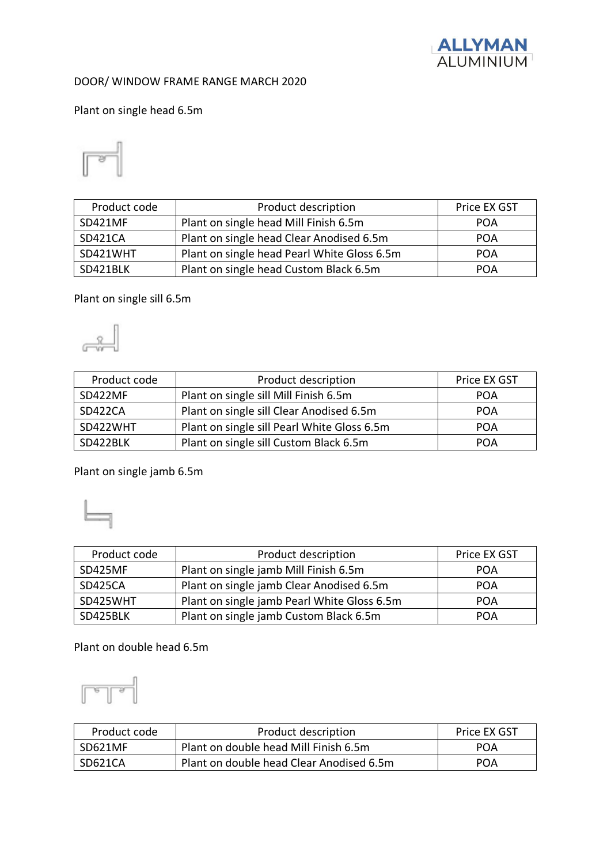

Plant on single head 6.5m

$$
\overline{\mathbb{P}^{\mathbb{P}}}
$$

| Product code   | Product description                         | Price EX GST |
|----------------|---------------------------------------------|--------------|
| SD421MF        | Plant on single head Mill Finish 6.5m       | <b>POA</b>   |
| <b>SD421CA</b> | Plant on single head Clear Anodised 6.5m    | <b>POA</b>   |
| SD421WHT       | Plant on single head Pearl White Gloss 6.5m | <b>POA</b>   |
| SD421BLK       | Plant on single head Custom Black 6.5m      | <b>POA</b>   |

#### Plant on single sill 6.5m

 $\mathbb{R}$ 

| Product code   | Product description                         | Price EX GST |
|----------------|---------------------------------------------|--------------|
| SD422MF        | Plant on single sill Mill Finish 6.5m       | <b>POA</b>   |
| <b>SD422CA</b> | Plant on single sill Clear Anodised 6.5m    | <b>POA</b>   |
| SD422WHT       | Plant on single sill Pearl White Gloss 6.5m | <b>POA</b>   |
| SD422BLK       | Plant on single sill Custom Black 6.5m      | <b>POA</b>   |

Plant on single jamb 6.5m

| Product code | Product description                         | Price EX GST |
|--------------|---------------------------------------------|--------------|
| SD425MF      | Plant on single jamb Mill Finish 6.5m       | <b>POA</b>   |
| SD425CA      | Plant on single jamb Clear Anodised 6.5m    | <b>POA</b>   |
| SD425WHT     | Plant on single jamb Pearl White Gloss 6.5m | <b>POA</b>   |
| SD425BLK     | Plant on single jamb Custom Black 6.5m      | <b>POA</b>   |

Plant on double head 6.5m

Ī

| Product code | Product description                      | Price EX GST |
|--------------|------------------------------------------|--------------|
| SD621MF      | Plant on double head Mill Finish 6.5m    | POA          |
| SD621CA      | Plant on double head Clear Anodised 6.5m | <b>POA</b>   |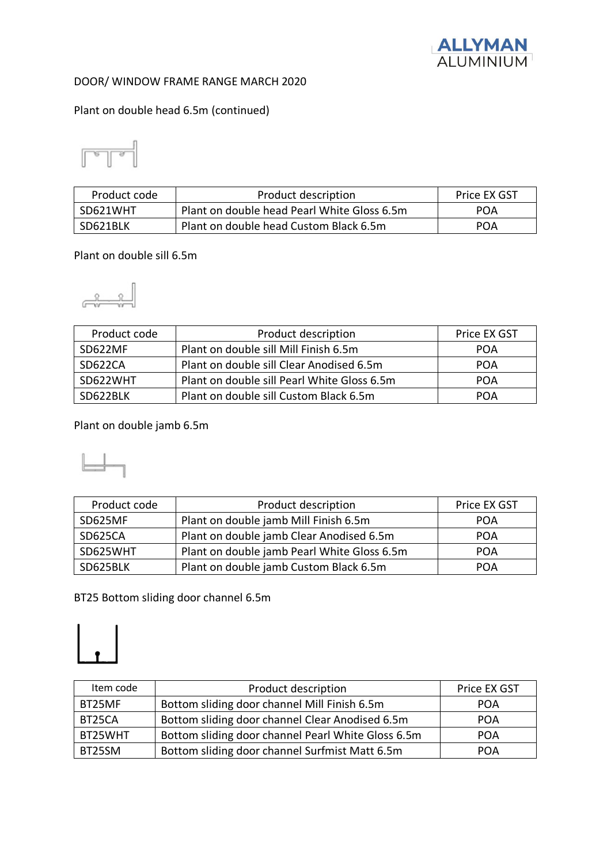

#### Plant on double head 6.5m (continued)



| Product code | Product description                         | Price EX GST |
|--------------|---------------------------------------------|--------------|
| SD621WHT     | Plant on double head Pearl White Gloss 6.5m | POA          |
| SD621BLK     | Plant on double head Custom Black 6.5m      | <b>POA</b>   |

#### Plant on double sill 6.5m

$$
\begin{array}{c}\n\begin{array}{ccc}\n\circ & & \\
\circ & & \\
\hline\n\end{array}
$$

| Product code | Product description                         | Price EX GST |
|--------------|---------------------------------------------|--------------|
| SD622MF      | Plant on double sill Mill Finish 6.5m       | POA          |
| SD622CA      | Plant on double sill Clear Anodised 6.5m    | POA          |
| SD622WHT     | Plant on double sill Pearl White Gloss 6.5m | POA          |
| SD622BLK     | Plant on double sill Custom Black 6.5m      | POA          |

Plant on double jamb 6.5m

| Product code | Product description                         | Price EX GST |
|--------------|---------------------------------------------|--------------|
| SD625MF      | Plant on double jamb Mill Finish 6.5m       | <b>POA</b>   |
| SD625CA      | Plant on double jamb Clear Anodised 6.5m    | <b>POA</b>   |
| SD625WHT     | Plant on double jamb Pearl White Gloss 6.5m | POA          |
| SD625BLK     | Plant on double jamb Custom Black 6.5m      | POA          |

BT25 Bottom sliding door channel 6.5m



| Item code | Product description                                | Price EX GST |
|-----------|----------------------------------------------------|--------------|
| BT25MF    | Bottom sliding door channel Mill Finish 6.5m       | <b>POA</b>   |
| BT25CA    | Bottom sliding door channel Clear Anodised 6.5m    | <b>POA</b>   |
| BT25WHT   | Bottom sliding door channel Pearl White Gloss 6.5m | <b>POA</b>   |
| BT25SM    | Bottom sliding door channel Surfmist Matt 6.5m     | POA          |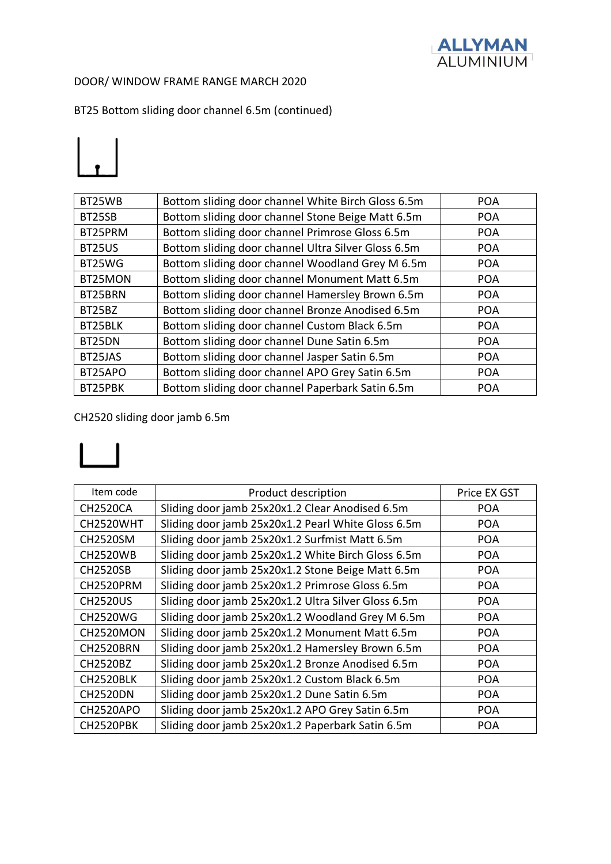

BT25 Bottom sliding door channel 6.5m (continued)



| BT25WB  | Bottom sliding door channel White Birch Gloss 6.5m  | <b>POA</b> |
|---------|-----------------------------------------------------|------------|
| BT25SB  | Bottom sliding door channel Stone Beige Matt 6.5m   | <b>POA</b> |
| BT25PRM | Bottom sliding door channel Primrose Gloss 6.5m     | <b>POA</b> |
| BT25US  | Bottom sliding door channel Ultra Silver Gloss 6.5m | <b>POA</b> |
| BT25WG  | Bottom sliding door channel Woodland Grey M 6.5m    | <b>POA</b> |
| BT25MON | Bottom sliding door channel Monument Matt 6.5m      | <b>POA</b> |
| BT25BRN | Bottom sliding door channel Hamersley Brown 6.5m    | <b>POA</b> |
| BT25BZ  | Bottom sliding door channel Bronze Anodised 6.5m    | <b>POA</b> |
| BT25BLK | Bottom sliding door channel Custom Black 6.5m       | <b>POA</b> |
| BT25DN  | Bottom sliding door channel Dune Satin 6.5m         | <b>POA</b> |
| BT25JAS | Bottom sliding door channel Jasper Satin 6.5m       | <b>POA</b> |
| BT25APO | Bottom sliding door channel APO Grey Satin 6.5m     | <b>POA</b> |
| BT25PBK | Bottom sliding door channel Paperbark Satin 6.5m    | <b>POA</b> |
|         |                                                     |            |

CH2520 sliding door jamb 6.5m

# $\vert \ \vert$

| Item code        | Product description                                 | Price EX GST |
|------------------|-----------------------------------------------------|--------------|
| <b>CH2520CA</b>  | Sliding door jamb 25x20x1.2 Clear Anodised 6.5m     | <b>POA</b>   |
| CH2520WHT        | Sliding door jamb 25x20x1.2 Pearl White Gloss 6.5m  | <b>POA</b>   |
| <b>CH2520SM</b>  | Sliding door jamb 25x20x1.2 Surfmist Matt 6.5m      | <b>POA</b>   |
| <b>CH2520WB</b>  | Sliding door jamb 25x20x1.2 White Birch Gloss 6.5m  | <b>POA</b>   |
| <b>CH2520SB</b>  | Sliding door jamb 25x20x1.2 Stone Beige Matt 6.5m   | <b>POA</b>   |
| CH2520PRM        | Sliding door jamb 25x20x1.2 Primrose Gloss 6.5m     | <b>POA</b>   |
| <b>CH2520US</b>  | Sliding door jamb 25x20x1.2 Ultra Silver Gloss 6.5m | <b>POA</b>   |
| <b>CH2520WG</b>  | Sliding door jamb 25x20x1.2 Woodland Grey M 6.5m    | <b>POA</b>   |
| CH2520MON        | Sliding door jamb 25x20x1.2 Monument Matt 6.5m      | <b>POA</b>   |
| <b>CH2520BRN</b> | Sliding door jamb 25x20x1.2 Hamersley Brown 6.5m    | <b>POA</b>   |
| <b>CH2520BZ</b>  | Sliding door jamb 25x20x1.2 Bronze Anodised 6.5m    | <b>POA</b>   |
| CH2520BLK        | Sliding door jamb 25x20x1.2 Custom Black 6.5m       | <b>POA</b>   |
| <b>CH2520DN</b>  | Sliding door jamb 25x20x1.2 Dune Satin 6.5m         | <b>POA</b>   |
| CH2520APO        | Sliding door jamb 25x20x1.2 APO Grey Satin 6.5m     | <b>POA</b>   |
| CH2520PBK        | Sliding door jamb 25x20x1.2 Paperbark Satin 6.5m    | <b>POA</b>   |